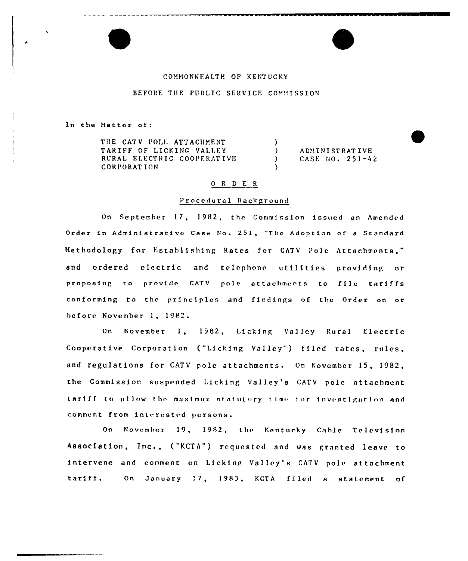### COMMONWEALTH OF KENTUCKY

## BEFORE THE PUBLIC SERVICE COMMISSION

In the Matter of:

THE CATV POLE ATTACHMENT TARIFF OF LICKING VALLEY RURAL ELECTRIC COOPERATIVE **CORPORATION** 

**ADMINISTRATIVE** CASE  $10.251-42$ 

### ORDER

 $\lambda$ 

 $\mathcal{L}$ 

 $\lambda$ 

 $\lambda$ 

#### Procedural Background

On September 17, 1982, the Commission issued an Amended Order in Administrative Case No. 251, "The Adoption of a Standard Methodology for Establishing Rates for CATV Pole Attachments," ordered electric and and telephone utilities providing or proposing to provide CATV pole attachments to file tariffs conforming to the principles and findings of the Order on or before November 1, 1982.

November 1, 1982, Licking Valley Rural Electric  $On$ Cooperative Corporation ("Licking Valley") filed rates, rules, and regulations for CATV pole attachments. On November 15, 1982, the Commission suspended Licking Valley's CATV pole attachment tariff to allow the maximum statutory time for investigation and comment from interested persons.

On November 19, 1982, the Kentucky Cable Television Association, Inc., ("KCTA") requested and was granted leave to intervene and comment on Licking Valley's CATV pole attachment On January 17, 1983, KCTA filed a statement of tariff.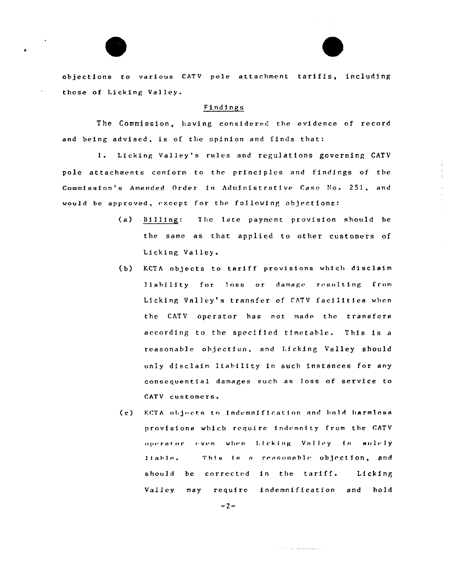objections to various CATV pole attachment tariffs, including those of Licking Valley.

## Findings

The Commission, having considered the evidence of record and being advised, is of the opinion and finds that:

Licking Valley's rules and regulations governing CATV  $1.$ pole attachments conform to the principles and findings of the Commission's Amended Order in Administrative Case No. 251, and would be approved, except for the following objections:

- The late payment provision should be  $(a)$  $B1111ng:$ the same as that applied to other customers of Licking Valley.
- $(b)$ KCTA objects to tariff provisions which disclaim liability for loss or damage resulting from Licking Valley's transfer of CATV facilities when the CATV operator has not made the transfers according to the specified timetable. This is a reasonable objection, and Licking Valley should only disclaim liability in such instances for any consequential damages such as loss of service to CATV customers.

KCTA objects to indemnification and hold harmless  $(c)$ provisions which require indemnity from the CATV operator even when Licking Valley is solely This is a reasonable objection, and  $11a$ ble. should be corrected in the tariff. Licking Valley may require indemnification and hold

المتحصص فتالت الداريات

 $-2-$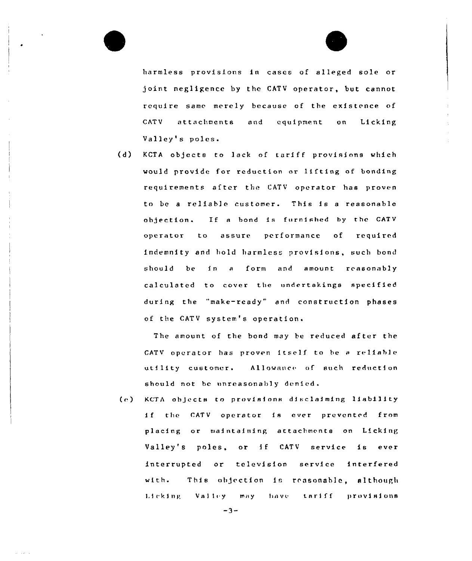harmless provisions in cases of alleged sole or joint negligence by the CATV operator, but cannot require same merely because of the existence of CATV attachments and equipment on Licking Valley's poles.

(d) KCTA objects to lack of tariff provisions which would provide for reduction or lifting of bonding requirements after the CATV operator has proven to be <sup>a</sup> reliable customer. This is <sup>a</sup> reasonable objection. If a bond is furnished by the CATV operator to assure performance of required indemnity and hold harmless provisions, such bond should be in <sup>a</sup> form and amount reasonably calculated to cover the undertakings specified during the "make-ready" and construction phases of the CATV system's operation.

The amount of the bond may be reduced after the CATV operator has proven itself to be a reliable utility customer. Allowance of such reduction should not be unreasonably denied.

(c) KCTA objects to provisions disclaiming liability if the CATV operator is ever prevented from placing or maintaining attachments on Licking Valley's poles, or if CATV service is ever interrupted or television service interfered with. This objection is reasonable, although Licking Valley may have tariff provisions

 $-3-$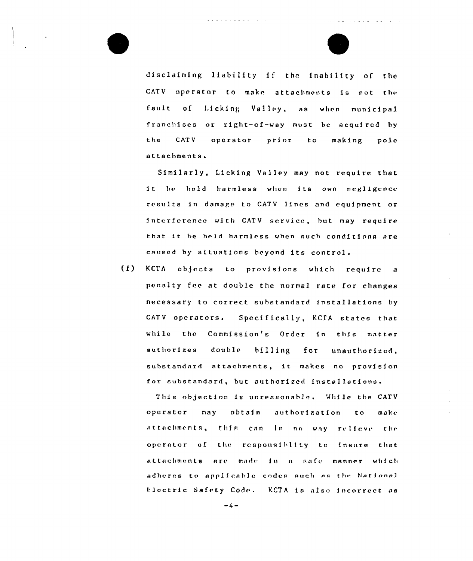

and a series of the series of the

disclaiming liability if the inability of the CATV operator to make attachments is not the fault of Licking Valley, as when municipal franchises or right-of-way must be acquired by the CATV operator prior to making pole attachments.

والوسف وواويا والمراج

Similarly, l.icking Valley may not require that it be held harmless when its own negligence results in damage to CATV lines and equipment or interference with CATV service, but may require that it be held harmless when such conditions are caused by situations beyond its control.

(f) KCTA objects to provisions which require a penalty fee at double the normal rate for changes necessary to correct substandard installations by CATV operators. Specifically, KCTA states that while the Commission's Order in this matter authorizes double billing for unauthorized, substandard attachments, it makes no provision for substandard, but authorized installations.

This objection is unreasonable. While the CATV operator may obtain authorization to make  ${\sf actions, this can in no way reliable v$ operator of the responsiblity to insure that attachments are made in a safe manner which adheres to applicable codes such as the National Electric Safety Code. KCTA is also incorrect as

 $-4-$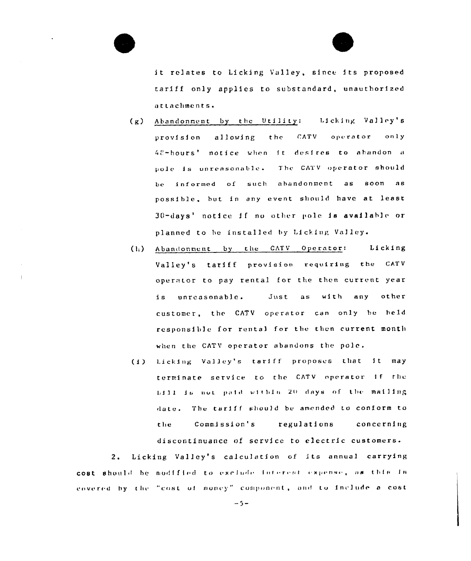

- Abandonment by the Utility: Licking Valley's  $(g)$ **CATV** operator allowing the  $only$ provision 48-hours' notice when it desires to abandon a pole is unreasonable. The CATV operator should be informed of such abandonment as  $s$  o on  $a s$ possible, but in any event should have at least 30-days' notice if no other pole is available or planned to be installed by Licking Valley.
- (h) Abandonment by the CATV Operator: Licking Valley's tariff provision requiring the CATV operator to pay rental for the then current year unreasonable. Just as with any other i s customer, the CATV operator can only be held responsible for rental for the then current month when the CATV operator abandons the pole.
- (i) Licking Valley's tariff proposes that it  $max$ terminate service to the CATV operator if the bill is not paid within 20 days of the mailing date. The tariff should be amended to conform to Commission's regulations the concerning discontinuance of service to electric customers.

Licking Valley's calculation of its annual carrying  $2.$ cost should be modified to exclude interest expense, as this is covered by the "cost of money" component, and to include a cost

 $-5-$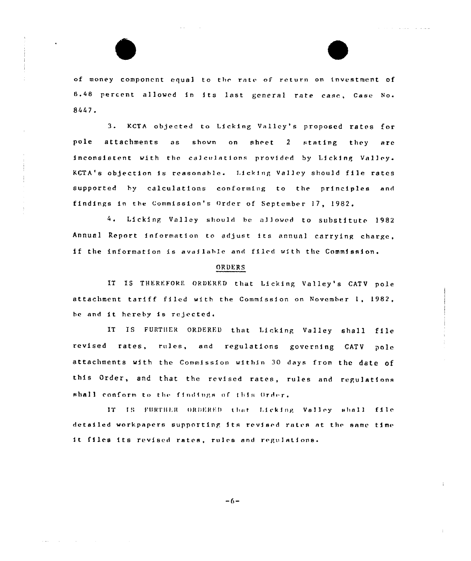of money component equal to the rate of return on investment of 8.48 percent allowed in its last general rate case, Case No. 8447.

**Service** 

3. KCTA objected to Licking Valley's proposed rates for pole attachments  $a s$ shown on sheet 2 stating they are inconsistent with the calculations provided by Licking Valley. KCTA's objection is reasonable. Licking Valley should file rates supported by calculations conforming to the principles and findings in the Commission's Order of September 17, 1982.

4. Licking Valley should be allowed to substitute 1982 Annual Report information to adjust its annual carrying charge. if the information is available and filed with the Commission.

# ORDERS

IT IS THEREFORE ORDERED that Licking Valley's CATV pole attachment tariff filed with the Commission on November 1, 1982, be and it hereby is rejected.

IT IS FURTHER ORDERED that Licking Valley shall file revised rates, rules, and regulations governing CATV  $po1c$ attachments with the Commission within 30 days from the date of this Order, and that the revised rates, rules and regulations shall conform to the findings of this Order.

IT IS FURTHER ORDERED that Licking Valley shall file detailed workpapers supporting its revised rates at the same time it files its revised rates, rules and regulations.

 $-6-$